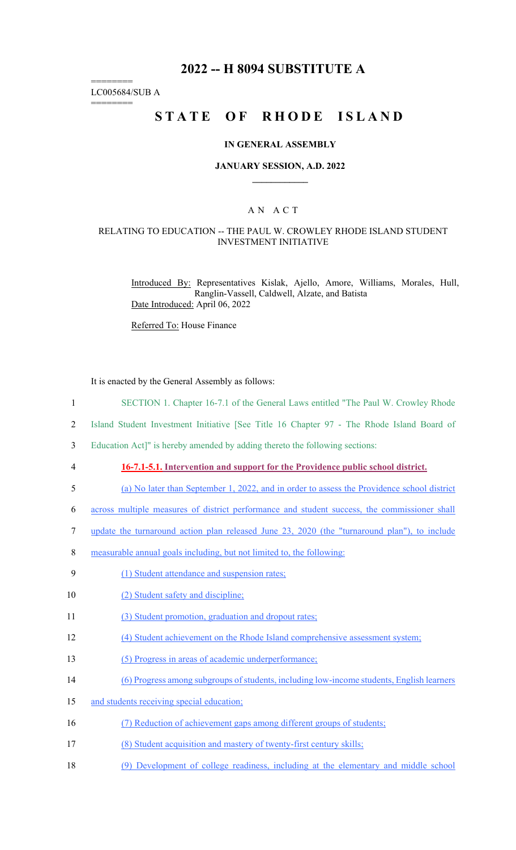## **2022 -- H 8094 SUBSTITUTE A**

======== LC005684/SUB A

========

# **STATE OF RHODE ISLAND**

### **IN GENERAL ASSEMBLY**

#### **JANUARY SESSION, A.D. 2022 \_\_\_\_\_\_\_\_\_\_\_\_**

### A N A C T

#### RELATING TO EDUCATION -- THE PAUL W. CROWLEY RHODE ISLAND STUDENT INVESTMENT INITIATIVE

Introduced By: Representatives Kislak, Ajello, Amore, Williams, Morales, Hull, Ranglin-Vassell, Caldwell, Alzate, and Batista Date Introduced: April 06, 2022

Referred To: House Finance

It is enacted by the General Assembly as follows:

- 1 SECTION 1. Chapter 16-7.1 of the General Laws entitled "The Paul W. Crowley Rhode
- 2 Island Student Investment Initiative [See Title 16 Chapter 97 The Rhode Island Board of

3 Education Act]" is hereby amended by adding thereto the following sections:

### 4 **16-7.1-5.1. Intervention and support for the Providence public school district.**

- 5 (a) No later than September 1, 2022, and in order to assess the Providence school district
- 6 across multiple measures of district performance and student success, the commissioner shall
- 7 update the turnaround action plan released June 23, 2020 (the "turnaround plan"), to include
- 8 measurable annual goals including, but not limited to, the following:
- 9 (1) Student attendance and suspension rates;
- 10 (2) Student safety and discipline;
- 11 (3) Student promotion, graduation and dropout rates;
- 12 (4) Student achievement on the Rhode Island comprehensive assessment system;
- 13 (5) Progress in areas of academic underperformance;
- 14 (6) Progress among subgroups of students, including low-income students, English learners
- 15 and students receiving special education;
- 16 (7) Reduction of achievement gaps among different groups of students;
- 17 (8) Student acquisition and mastery of twenty-first century skills;
- 18 (9) Development of college readiness, including at the elementary and middle school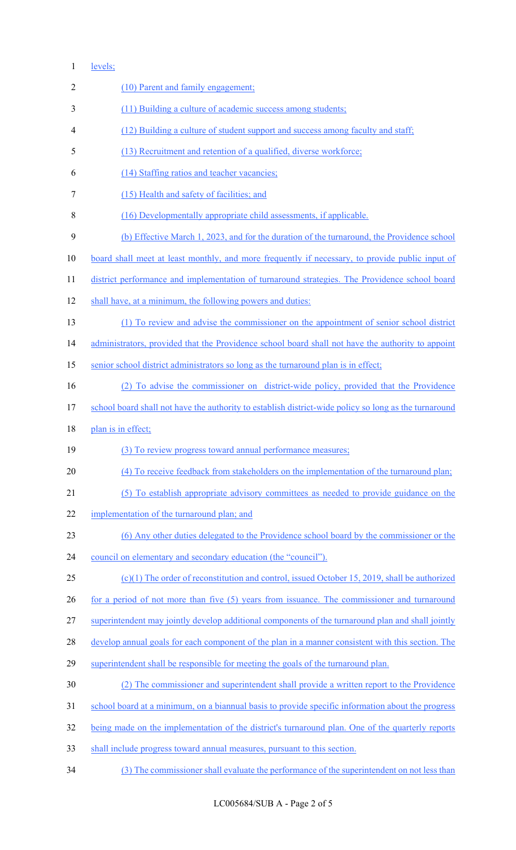### 1 levels;

| $\overline{2}$ | (10) Parent and family engagement;                                                                    |
|----------------|-------------------------------------------------------------------------------------------------------|
| 3              | (11) Building a culture of academic success among students;                                           |
| 4              | (12) Building a culture of student support and success among faculty and staff;                       |
| 5              | (13) Recruitment and retention of a qualified, diverse workforce;                                     |
| 6              | (14) Staffing ratios and teacher vacancies;                                                           |
| 7              | (15) Health and safety of facilities; and                                                             |
| 8              | (16) Developmentally appropriate child assessments, if applicable.                                    |
| 9              | (b) Effective March 1, 2023, and for the duration of the turnaround, the Providence school            |
| 10             | board shall meet at least monthly, and more frequently if necessary, to provide public input of       |
| 11             | district performance and implementation of turnaround strategies. The Providence school board         |
| 12             | shall have, at a minimum, the following powers and duties:                                            |
| 13             | (1) To review and advise the commissioner on the appointment of senior school district                |
| 14             | administrators, provided that the Providence school board shall not have the authority to appoint     |
| 15             | senior school district administrators so long as the turnaround plan is in effect;                    |
| 16             | (2) To advise the commissioner on district-wide policy, provided that the Providence                  |
| 17             | school board shall not have the authority to establish district-wide policy so long as the turnaround |
|                |                                                                                                       |
| 18             | plan is in effect;                                                                                    |
| 19             | (3) To review progress toward annual performance measures;                                            |
| 20             | (4) To receive feedback from stakeholders on the implementation of the turnaround plan;               |
| 21             | (5) To establish appropriate advisory committees as needed to provide guidance on the                 |
| 22             | implementation of the turnaround plan; and                                                            |
| 23             | (6) Any other duties delegated to the Providence school board by the commissioner or the              |
| 24             | council on elementary and secondary education (the "council").                                        |
| 25             | $(c)(1)$ The order of reconstitution and control, issued October 15, 2019, shall be authorized        |
| 26             | for a period of not more than five (5) years from issuance. The commissioner and turnaround           |
| 27             | superintendent may jointly develop additional components of the turnaround plan and shall jointly     |
| 28             | develop annual goals for each component of the plan in a manner consistent with this section. The     |
| 29             | superintendent shall be responsible for meeting the goals of the turnaround plan.                     |
| 30             | (2) The commissioner and superintendent shall provide a written report to the Providence              |
| 31             | school board at a minimum, on a biannual basis to provide specific information about the progress     |
| 32             | being made on the implementation of the district's turnaround plan. One of the quarterly reports      |
| 33             | shall include progress toward annual measures, pursuant to this section.                              |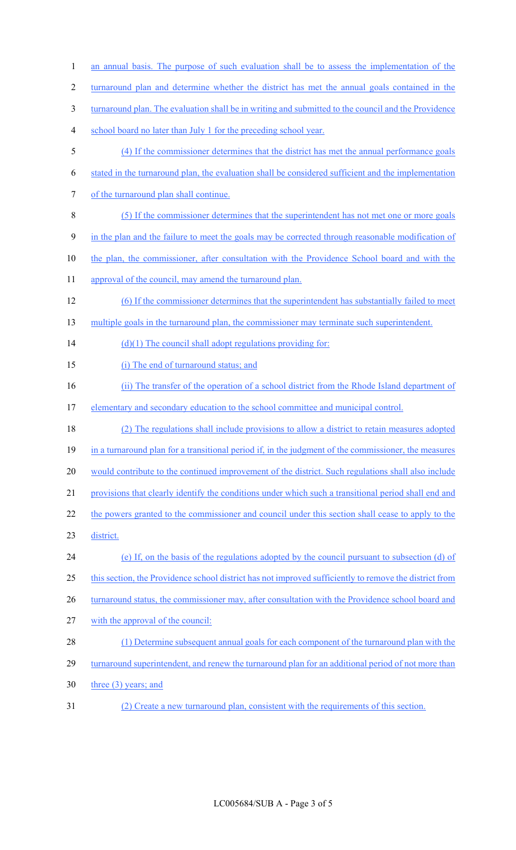1 an annual basis. The purpose of such evaluation shall be to assess the implementation of the 2 turnaround plan and determine whether the district has met the annual goals contained in the 3 turnaround plan. The evaluation shall be in writing and submitted to the council and the Providence 4 school board no later than July 1 for the preceding school year. 5 (4) If the commissioner determines that the district has met the annual performance goals 6 stated in the turnaround plan, the evaluation shall be considered sufficient and the implementation 7 of the turnaround plan shall continue. 8 (5) If the commissioner determines that the superintendent has not met one or more goals 9 in the plan and the failure to meet the goals may be corrected through reasonable modification of 10 the plan, the commissioner, after consultation with the Providence School board and with the 11 approval of the council, may amend the turnaround plan. 12 (6) If the commissioner determines that the superintendent has substantially failed to meet 13 multiple goals in the turnaround plan, the commissioner may terminate such superintendent. 14  $(d)(1)$  The council shall adopt regulations providing for: 15 (i) The end of turnaround status; and 16 (ii) The transfer of the operation of a school district from the Rhode Island department of 17 elementary and secondary education to the school committee and municipal control. 18 (2) The regulations shall include provisions to allow a district to retain measures adopted 19 in a turnaround plan for a transitional period if, in the judgment of the commissioner, the measures 20 would contribute to the continued improvement of the district. Such regulations shall also include 21 provisions that clearly identify the conditions under which such a transitional period shall end and 22 the powers granted to the commissioner and council under this section shall cease to apply to the 23 district. 24 (e) If, on the basis of the regulations adopted by the council pursuant to subsection (d) of 25 this section, the Providence school district has not improved sufficiently to remove the district from 26 turnaround status, the commissioner may, after consultation with the Providence school board and 27 with the approval of the council: 28 (1) Determine subsequent annual goals for each component of the turnaround plan with the 29 turnaround superintendent, and renew the turnaround plan for an additional period of not more than 30 three (3) years; and

31 (2) Create a new turnaround plan, consistent with the requirements of this section.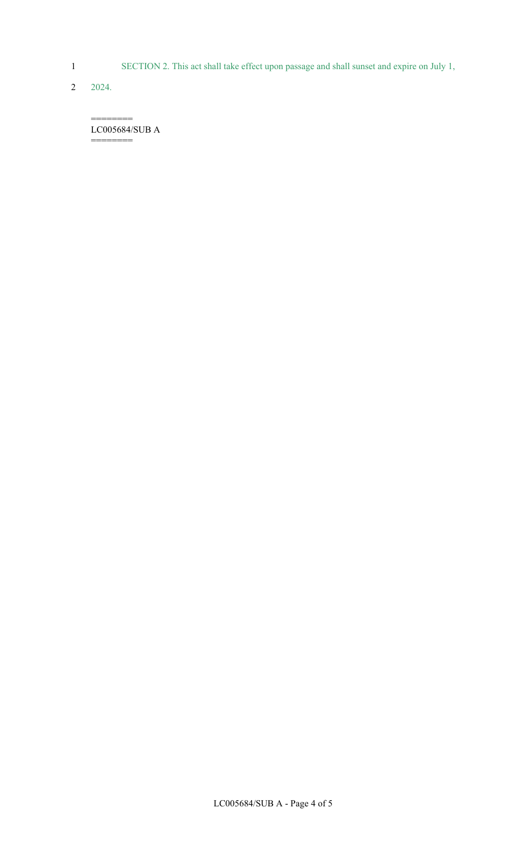1 SECTION 2. This act shall take effect upon passage and shall sunset and expire on July 1,

2 2024.

======== LC005684/SUB A

========